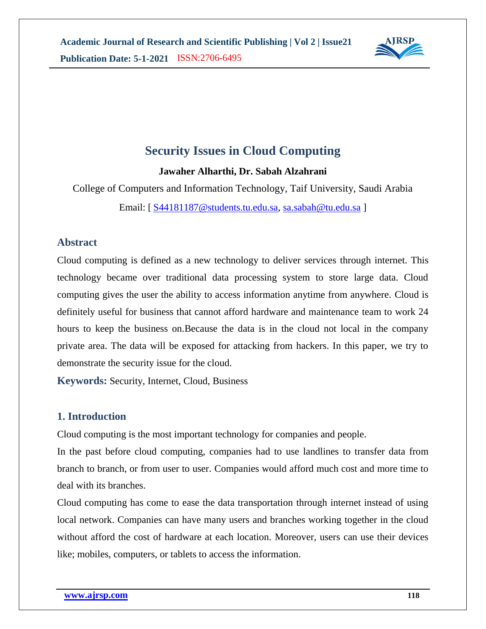

# **Security Issues in Cloud Computing**

**Jawaher Alharthi, Dr. Sabah Alzahrani**

College of Computers and Information Technology, Taif University, Saudi Arabia

Email: [ [S44181187@students.tu.edu.sa,](mailto:S44181187@students.tu.edu.sa) [sa.sabah@tu.edu.sa](mailto:sa.sabah@tu.edu.sa) ]

# **Abstract**

Cloud computing is defined as a new technology to deliver services through internet. This technology became over traditional data processing system to store large data. Cloud computing gives the user the ability to access information anytime from anywhere. Cloud is definitely useful for business that cannot afford hardware and maintenance team to work 24 hours to keep the business on.Because the data is in the cloud not local in the company private area. The data will be exposed for attacking from hackers. In this paper, we try to demonstrate the security issue for the cloud.

**Keywords:** Security, Internet, Cloud, Business

# **1. Introduction**

Cloud computing is the most important technology for companies and people.

In the past before cloud computing, companies had to use landlines to transfer data from branch to branch, or from user to user. Companies would afford much cost and more time to deal with its branches.

Cloud computing has come to ease the data transportation through internet instead of using local network. Companies can have many users and branches working together in the cloud without afford the cost of hardware at each location. Moreover, users can use their devices like; mobiles, computers, or tablets to access the information.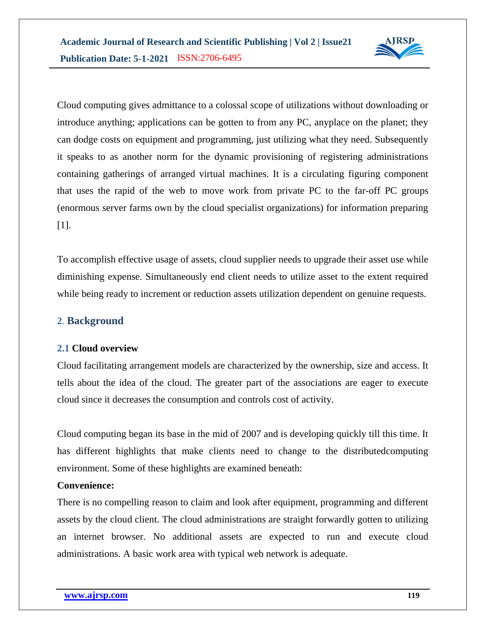

Cloud computing gives admittance to a colossal scope of utilizations without downloading or introduce anything; applications can be gotten to from any PC, anyplace on the planet; they can dodge costs on equipment and programming, just utilizing what they need. Subsequently it speaks to as another norm for the dynamic provisioning of registering administrations containing gatherings of arranged virtual machines. It is a circulating figuring component that uses the rapid of the web to move work from private PC to the far-off PC groups (enormous server farms own by the cloud specialist organizations) for information preparing [1].

To accomplish effective usage of assets, cloud supplier needs to upgrade their asset use while diminishing expense. Simultaneously end client needs to utilize asset to the extent required while being ready to increment or reduction assets utilization dependent on genuine requests.

# **2**. **Background**

### **2.1 Cloud overview**

Cloud facilitating arrangement models are characterized by the ownership, size and access. It tells about the idea of the cloud. The greater part of the associations are eager to execute cloud since it decreases the consumption and controls cost of activity.

Cloud computing began its base in the mid of 2007 and is developing quickly till this time. It has different highlights that make clients need to change to the distributedcomputing environment. Some of these highlights are examined beneath:

#### **Convenience:**

There is no compelling reason to claim and look after equipment, programming and different assets by the cloud client. The cloud administrations are straight forwardly gotten to utilizing an internet browser. No additional assets are expected to run and execute cloud administrations. A basic work area with typical web network is adequate.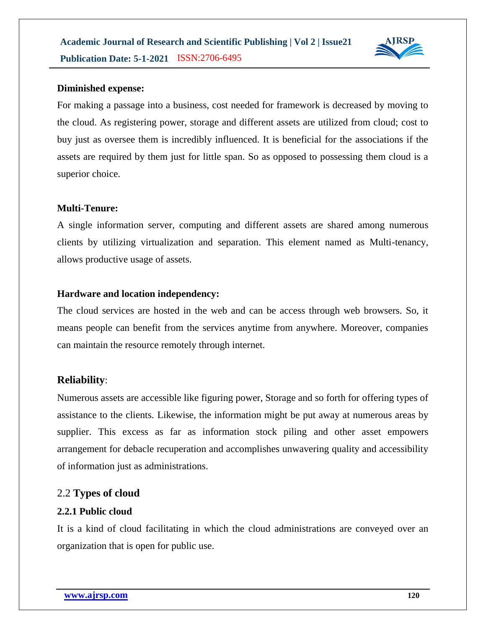

#### **Diminished expense:**

For making a passage into a business, cost needed for framework is decreased by moving to the cloud. As registering power, storage and different assets are utilized from cloud; cost to buy just as oversee them is incredibly influenced. It is beneficial for the associations if the assets are required by them just for little span. So as opposed to possessing them cloud is a superior choice.

#### **Multi-Tenure:**

A single information server, computing and different assets are shared among numerous clients by utilizing virtualization and separation. This element named as Multi-tenancy, allows productive usage of assets.

#### **Hardware and location independency:**

The cloud services are hosted in the web and can be access through web browsers. So, it means people can benefit from the services anytime from anywhere. Moreover, companies can maintain the resource remotely through internet.

#### **Reliability**:

Numerous assets are accessible like figuring power, Storage and so forth for offering types of assistance to the clients. Likewise, the information might be put away at numerous areas by supplier. This excess as far as information stock piling and other asset empowers arrangement for debacle recuperation and accomplishes unwavering quality and accessibility of information just as administrations.

#### 2.2 **Types of cloud**

#### **2.2.1 Public cloud**

It is a kind of cloud facilitating in which the cloud administrations are conveyed over an organization that is open for public use.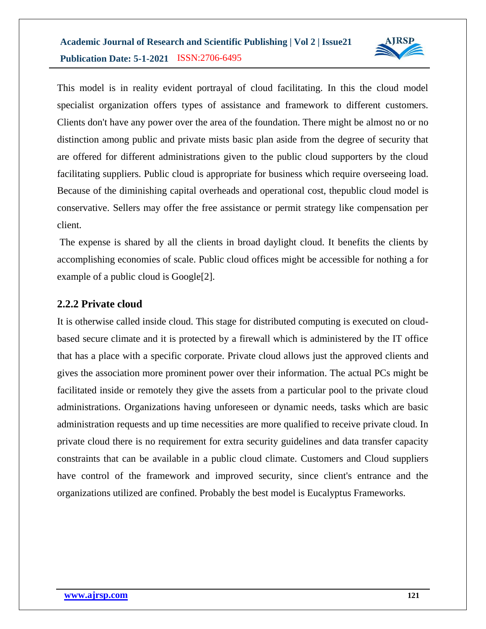

This model is in reality evident portrayal of cloud facilitating. In this the cloud model specialist organization offers types of assistance and framework to different customers. Clients don't have any power over the area of the foundation. There might be almost no or no distinction among public and private mists basic plan aside from the degree of security that are offered for different administrations given to the public cloud supporters by the cloud facilitating suppliers. Public cloud is appropriate for business which require overseeing load. Because of the diminishing capital overheads and operational cost, thepublic cloud model is conservative. Sellers may offer the free assistance or permit strategy like compensation per client.

The expense is shared by all the clients in broad daylight cloud. It benefits the clients by accomplishing economies of scale. Public cloud offices might be accessible for nothing a for example of a public cloud is Google[2].

# **2.2.2 Private cloud**

It is otherwise called inside cloud. This stage for distributed computing is executed on cloudbased secure climate and it is protected by a firewall which is administered by the IT office that has a place with a specific corporate. Private cloud allows just the approved clients and gives the association more prominent power over their information. The actual PCs might be facilitated inside or remotely they give the assets from a particular pool to the private cloud administrations. Organizations having unforeseen or dynamic needs, tasks which are basic administration requests and up time necessities are more qualified to receive private cloud. In private cloud there is no requirement for extra security guidelines and data transfer capacity constraints that can be available in a public cloud climate. Customers and Cloud suppliers have control of the framework and improved security, since client's entrance and the organizations utilized are confined. Probably the best model is Eucalyptus Frameworks.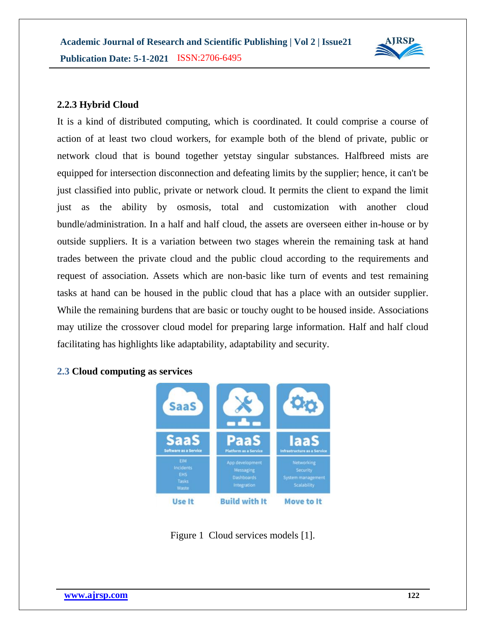

### **2.2.3 Hybrid Cloud**

It is a kind of distributed computing, which is coordinated. It could comprise a course of action of at least two cloud workers, for example both of the blend of private, public or network cloud that is bound together yetstay singular substances. Halfbreed mists are equipped for intersection disconnection and defeating limits by the supplier; hence, it can't be just classified into public, private or network cloud. It permits the client to expand the limit just as the ability by osmosis, total and customization with another cloud bundle/administration. In a half and half cloud, the assets are overseen either in-house or by outside suppliers. It is a variation between two stages wherein the remaining task at hand trades between the private cloud and the public cloud according to the requirements and request of association. Assets which are non-basic like turn of events and test remaining tasks at hand can be housed in the public cloud that has a place with an outsider supplier. While the remaining burdens that are basic or touchy ought to be housed inside. Associations may utilize the crossover cloud model for preparing large information. Half and half cloud facilitating has highlights like adaptability, adaptability and security.



#### **2.3 Cloud computing as services**

Figure 1 Cloud services models [1].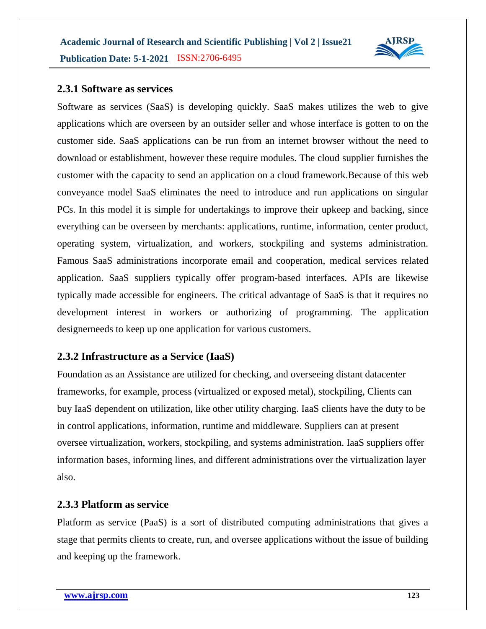

### **2.3.1 Software as services**

Software as services (SaaS) is developing quickly. SaaS makes utilizes the web to give applications which are overseen by an outsider seller and whose interface is gotten to on the customer side. SaaS applications can be run from an internet browser without the need to download or establishment, however these require modules. The cloud supplier furnishes the customer with the capacity to send an application on a cloud framework.Because of this web conveyance model SaaS eliminates the need to introduce and run applications on singular PCs. In this model it is simple for undertakings to improve their upkeep and backing, since everything can be overseen by merchants: applications, runtime, information, center product, operating system, virtualization, and workers, stockpiling and systems administration. Famous SaaS administrations incorporate email and cooperation, medical services related application. SaaS suppliers typically offer program-based interfaces. APIs are likewise typically made accessible for engineers. The critical advantage of SaaS is that it requires no development interest in workers or authorizing of programming. The application designerneeds to keep up one application for various customers.

# **2.3.2 Infrastructure as a Service (IaaS)**

Foundation as an Assistance are utilized for checking, and overseeing distant datacenter frameworks, for example, process (virtualized or exposed metal), stockpiling, Clients can buy IaaS dependent on utilization, like other utility charging. IaaS clients have the duty to be in control applications, information, runtime and middleware. Suppliers can at present oversee virtualization, workers, stockpiling, and systems administration. IaaS suppliers offer information bases, informing lines, and different administrations over the virtualization layer also.

### **2.3.3 Platform as service**

Platform as service (PaaS) is a sort of distributed computing administrations that gives a stage that permits clients to create, run, and oversee applications without the issue of building and keeping up the framework.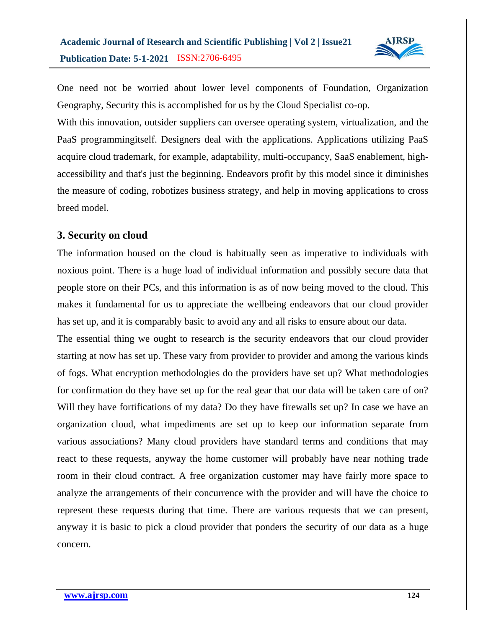

One need not be worried about lower level components of Foundation, Organization Geography, Security this is accomplished for us by the Cloud Specialist co-op.

With this innovation, outsider suppliers can oversee operating system, virtualization, and the PaaS programmingitself. Designers deal with the applications. Applications utilizing PaaS acquire cloud trademark, for example, adaptability, multi-occupancy, SaaS enablement, highaccessibility and that's just the beginning. Endeavors profit by this model since it diminishes the measure of coding, robotizes business strategy, and help in moving applications to cross breed model.

# **3. Security on cloud**

The information housed on the cloud is habitually seen as imperative to individuals with noxious point. There is a huge load of individual information and possibly secure data that people store on their PCs, and this information is as of now being moved to the cloud. This makes it fundamental for us to appreciate the wellbeing endeavors that our cloud provider has set up, and it is comparably basic to avoid any and all risks to ensure about our data.

The essential thing we ought to research is the security endeavors that our cloud provider starting at now has set up. These vary from provider to provider and among the various kinds of fogs. What encryption methodologies do the providers have set up? What methodologies for confirmation do they have set up for the real gear that our data will be taken care of on? Will they have fortifications of my data? Do they have firewalls set up? In case we have an organization cloud, what impediments are set up to keep our information separate from various associations? Many cloud providers have standard terms and conditions that may react to these requests, anyway the home customer will probably have near nothing trade room in their cloud contract. A free organization customer may have fairly more space to analyze the arrangements of their concurrence with the provider and will have the choice to represent these requests during that time. There are various requests that we can present, anyway it is basic to pick a cloud provider that ponders the security of our data as a huge concern.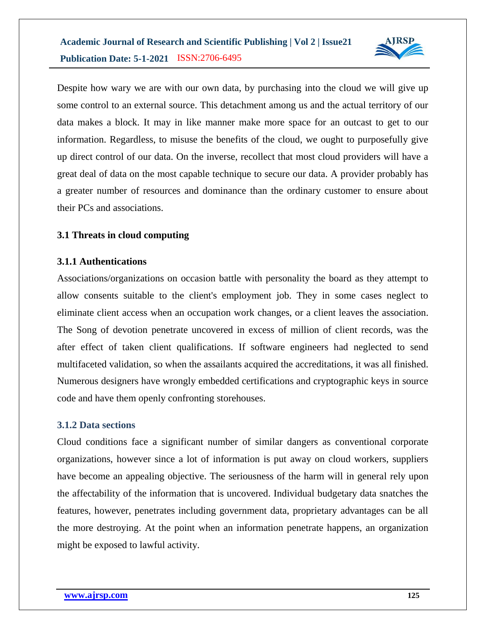

Despite how wary we are with our own data, by purchasing into the cloud we will give up some control to an external source. This detachment among us and the actual territory of our data makes a block. It may in like manner make more space for an outcast to get to our information. Regardless, to misuse the benefits of the cloud, we ought to purposefully give up direct control of our data. On the inverse, recollect that most cloud providers will have a great deal of data on the most capable technique to secure our data. A provider probably has a greater number of resources and dominance than the ordinary customer to ensure about their PCs and associations.

# **3.1 Threats in cloud computing**

# **3.1.1 Authentications**

Associations/organizations on occasion battle with personality the board as they attempt to allow consents suitable to the client's employment job. They in some cases neglect to eliminate client access when an occupation work changes, or a client leaves the association. The Song of devotion penetrate uncovered in excess of million of client records, was the after effect of taken client qualifications. If software engineers had neglected to send multifaceted validation, so when the assailants acquired the accreditations, it was all finished. Numerous designers have wrongly embedded certifications and cryptographic keys in source code and have them openly confronting storehouses.

### **3.1.2 Data sections**

Cloud conditions face a significant number of similar dangers as conventional corporate organizations, however since a lot of information is put away on cloud workers, suppliers have become an appealing objective. The seriousness of the harm will in general rely upon the affectability of the information that is uncovered. Individual budgetary data snatches the features, however, penetrates including government data, proprietary advantages can be all the more destroying. At the point when an information penetrate happens, an organization might be exposed to lawful activity.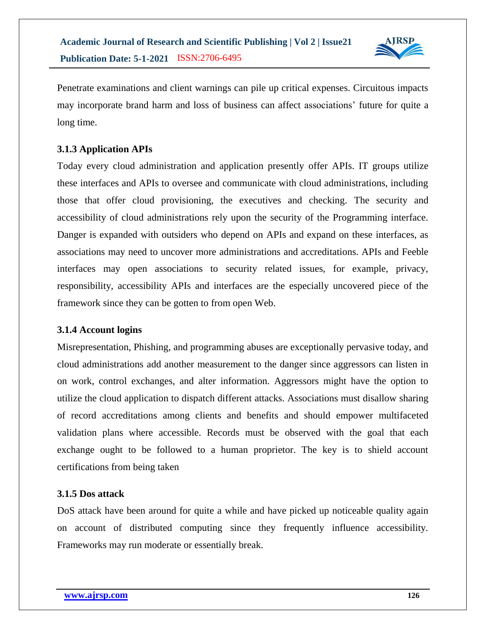

Penetrate examinations and client warnings can pile up critical expenses. Circuitous impacts may incorporate brand harm and loss of business can affect associations' future for quite a long time.

# **3.1.3 Application APIs**

Today every cloud administration and application presently offer APIs. IT groups utilize these interfaces and APIs to oversee and communicate with cloud administrations, including those that offer cloud provisioning, the executives and checking. The security and accessibility of cloud administrations rely upon the security of the Programming interface. Danger is expanded with outsiders who depend on APIs and expand on these interfaces, as associations may need to uncover more administrations and accreditations. APIs and Feeble interfaces may open associations to security related issues, for example, privacy, responsibility, accessibility APIs and interfaces are the especially uncovered piece of the framework since they can be gotten to from open Web.

### **3.1.4 Account logins**

Misrepresentation, Phishing, and programming abuses are exceptionally pervasive today, and cloud administrations add another measurement to the danger since aggressors can listen in on work, control exchanges, and alter information. Aggressors might have the option to utilize the cloud application to dispatch different attacks. Associations must disallow sharing of record accreditations among clients and benefits and should empower multifaceted validation plans where accessible. Records must be observed with the goal that each exchange ought to be followed to a human proprietor. The key is to shield account certifications from being taken

### **3.1.5 Dos attack**

DoS attack have been around for quite a while and have picked up noticeable quality again on account of distributed computing since they frequently influence accessibility. Frameworks may run moderate or essentially break.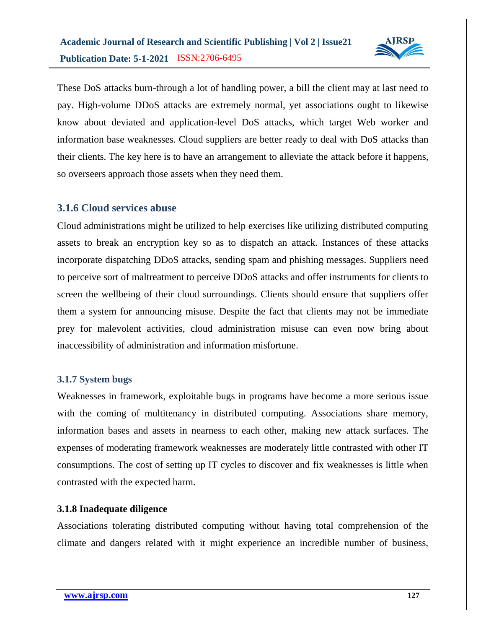

These DoS attacks burn-through a lot of handling power, a bill the client may at last need to pay. High-volume DDoS attacks are extremely normal, yet associations ought to likewise know about deviated and application-level DoS attacks, which target Web worker and information base weaknesses. Cloud suppliers are better ready to deal with DoS attacks than their clients. The key here is to have an arrangement to alleviate the attack before it happens, so overseers approach those assets when they need them.

# **3.1.6 Cloud services abuse**

Cloud administrations might be utilized to help exercises like utilizing distributed computing assets to break an encryption key so as to dispatch an attack. Instances of these attacks incorporate dispatching DDoS attacks, sending spam and phishing messages. Suppliers need to perceive sort of maltreatment to perceive DDoS attacks and offer instruments for clients to screen the wellbeing of their cloud surroundings. Clients should ensure that suppliers offer them a system for announcing misuse. Despite the fact that clients may not be immediate prey for malevolent activities, cloud administration misuse can even now bring about inaccessibility of administration and information misfortune.

### **3.1.7 System bugs**

Weaknesses in framework, exploitable bugs in programs have become a more serious issue with the coming of multitenancy in distributed computing. Associations share memory, information bases and assets in nearness to each other, making new attack surfaces. The expenses of moderating framework weaknesses are moderately little contrasted with other IT consumptions. The cost of setting up IT cycles to discover and fix weaknesses is little when contrasted with the expected harm.

# **3.1.8 Inadequate diligence**

Associations tolerating distributed computing without having total comprehension of the climate and dangers related with it might experience an incredible number of business,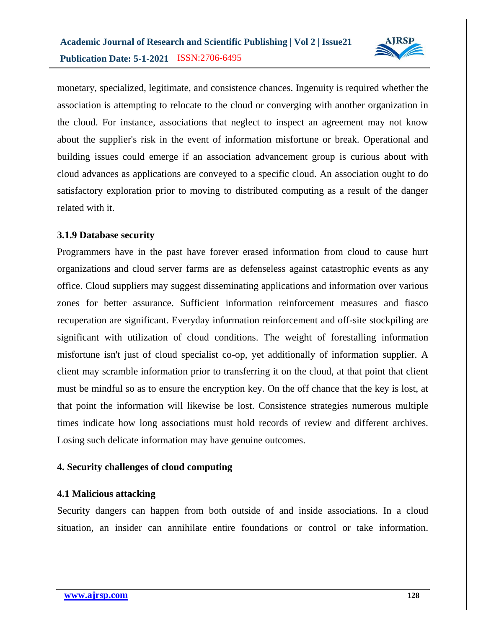

monetary, specialized, legitimate, and consistence chances. Ingenuity is required whether the association is attempting to relocate to the cloud or converging with another organization in the cloud. For instance, associations that neglect to inspect an agreement may not know about the supplier's risk in the event of information misfortune or break. Operational and building issues could emerge if an association advancement group is curious about with cloud advances as applications are conveyed to a specific cloud. An association ought to do satisfactory exploration prior to moving to distributed computing as a result of the danger related with it.

# **3.1.9 Database security**

Programmers have in the past have forever erased information from cloud to cause hurt organizations and cloud server farms are as defenseless against catastrophic events as any office. Cloud suppliers may suggest disseminating applications and information over various zones for better assurance. Sufficient information reinforcement measures and fiasco recuperation are significant. Everyday information reinforcement and off-site stockpiling are significant with utilization of cloud conditions. The weight of forestalling information misfortune isn't just of cloud specialist co-op, yet additionally of information supplier. A client may scramble information prior to transferring it on the cloud, at that point that client must be mindful so as to ensure the encryption key. On the off chance that the key is lost, at that point the information will likewise be lost. Consistence strategies numerous multiple times indicate how long associations must hold records of review and different archives. Losing such delicate information may have genuine outcomes.

# **4. Security challenges of cloud computing**

### **4.1 Malicious attacking**

Security dangers can happen from both outside of and inside associations. In a cloud situation, an insider can annihilate entire foundations or control or take information.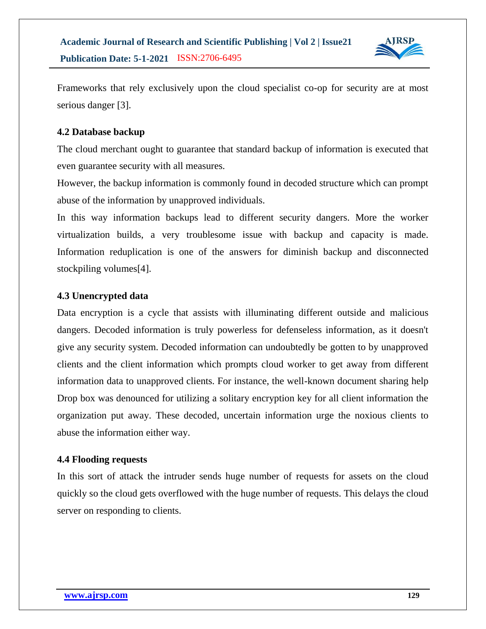

Frameworks that rely exclusively upon the cloud specialist co-op for security are at most serious danger [3].

# **4.2 Database backup**

The cloud merchant ought to guarantee that standard backup of information is executed that even guarantee security with all measures.

However, the backup information is commonly found in decoded structure which can prompt abuse of the information by unapproved individuals.

In this way information backups lead to different security dangers. More the worker virtualization builds, a very troublesome issue with backup and capacity is made. Information reduplication is one of the answers for diminish backup and disconnected stockpiling volumes[4].

### **4.3 Unencrypted data**

Data encryption is a cycle that assists with illuminating different outside and malicious dangers. Decoded information is truly powerless for defenseless information, as it doesn't give any security system. Decoded information can undoubtedly be gotten to by unapproved clients and the client information which prompts cloud worker to get away from different information data to unapproved clients. For instance, the well-known document sharing help Drop box was denounced for utilizing a solitary encryption key for all client information the organization put away. These decoded, uncertain information urge the noxious clients to abuse the information either way.

### **4.4 Flooding requests**

In this sort of attack the intruder sends huge number of requests for assets on the cloud quickly so the cloud gets overflowed with the huge number of requests. This delays the cloud server on responding to clients.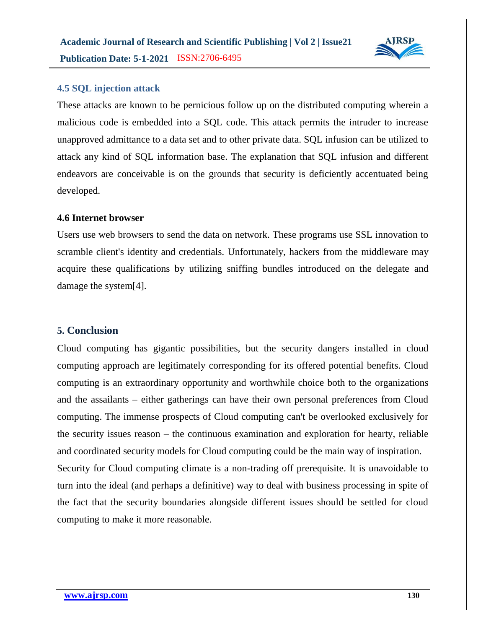

#### **4.5 SQL injection attack**

These attacks are known to be pernicious follow up on the distributed computing wherein a malicious code is embedded into a SQL code. This attack permits the intruder to increase unapproved admittance to a data set and to other private data. SQL infusion can be utilized to attack any kind of SQL information base. The explanation that SQL infusion and different endeavors are conceivable is on the grounds that security is deficiently accentuated being developed.

#### **4.6 Internet browser**

Users use web browsers to send the data on network. These programs use SSL innovation to scramble client's identity and credentials. Unfortunately, hackers from the middleware may acquire these qualifications by utilizing sniffing bundles introduced on the delegate and damage the system[4].

#### **5. Conclusion**

Cloud computing has gigantic possibilities, but the security dangers installed in cloud computing approach are legitimately corresponding for its offered potential benefits. Cloud computing is an extraordinary opportunity and worthwhile choice both to the organizations and the assailants – either gatherings can have their own personal preferences from Cloud computing. The immense prospects of Cloud computing can't be overlooked exclusively for the security issues reason – the continuous examination and exploration for hearty, reliable and coordinated security models for Cloud computing could be the main way of inspiration. Security for Cloud computing climate is a non-trading off prerequisite. It is unavoidable to turn into the ideal (and perhaps a definitive) way to deal with business processing in spite of the fact that the security boundaries alongside different issues should be settled for cloud computing to make it more reasonable.